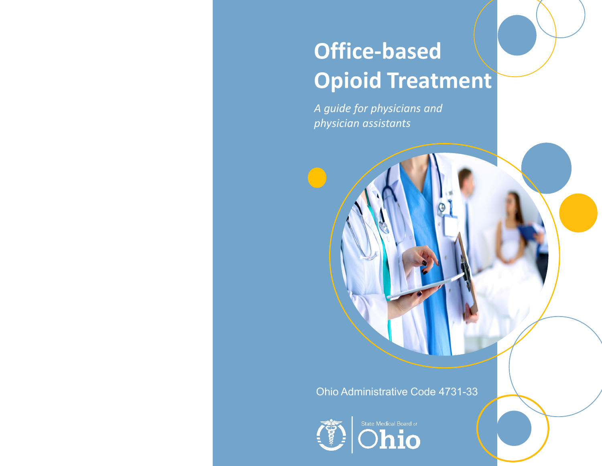# **Office-based Opioid Treatment**

*A guide for physicians and physician assistants* 

# Ohio Administrative Code 4731-33



State Medical Board of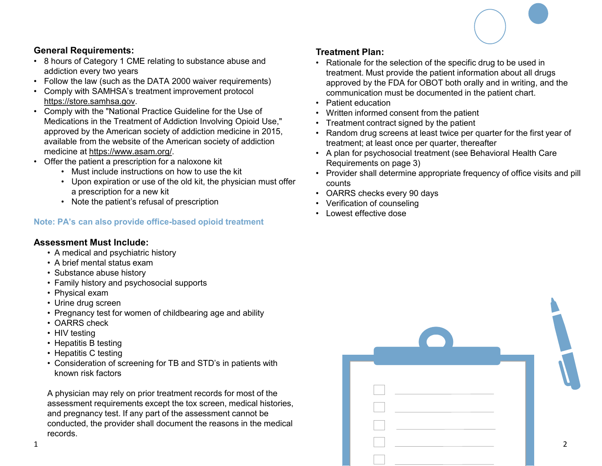

## **General Requirements:**

- 8 hours of Category 1 CME relating to substance abuse and addiction every two years
- Follow the law (such as the DATA 2000 waiver requirements)
- Comply with SAMHSA's treatment improvement protocol https://store.samhsa.gov.
- Comply with the "National Practice Guideline for the Use of Medications in the Treatment of Addiction Involving Opioid Use," approved by the American society of addiction medicine in 2015, available from the website of the American society of addiction medicine at https://www.asam.org/.
- Offer the patient a prescription for a naloxone kit
	- Must include instructions on how to use the kit
		- Upon expiration or use of the old kit, the physician must offer a prescription for a new kit
		- Note the patient's refusal of prescription

#### **Note: PA's can also provide office-based opioid treatment**

#### **Assessment Must Include:**

- A medical and psychiatric history
- A brief mental status exam
- Substance abuse history
- Family history and psychosocial supports
- Physical exam
- Urine drug screen
- Pregnancy test for women of childbearing age and ability
- OARRS check
- HIV testing
- Hepatitis B testing
- Hepatitis C testing
- Consideration of screening for TB and STD's in patients with known risk factors

# **Treatment Plan:**

- Rationale for the selection of the specific drug to be used in treatment. Must provide the patient information about all drugs approved by the FDA for OBOT both orally and in writing, and the communication must be documented in the patient chart.
- Patient education
- Written informed consent from the patient
- Treatment contract signed by the patient
- Random drug screens at least twice per quarter for the first year of treatment; at least once per quarter, thereafter
- A plan for psychosocial treatment (see Behavioral Health Care Requirements on page 3)
- Provider shall determine appropriate frequency of office visits and pill counts
- OARRS checks every 90 days
- Verification of counseling
- Lowest effective dose

| • Physical exam<br>• Urine drug screen<br>• Pregnancy test for women of childbearing age and ability<br>• OARRS check<br>• HIV testing<br>• Hepatitis B testing<br>• Hepatitis C testing                                                                                                    |  |
|---------------------------------------------------------------------------------------------------------------------------------------------------------------------------------------------------------------------------------------------------------------------------------------------|--|
| • Consideration of screening for TB and STD's in patients with<br>known risk factors<br>A physician may rely on prior treatment records for most of the<br>assessment requirements except the tox screen, medical histories,<br>and pregnancy test. If any part of the assessment cannot be |  |
| conducted, the provider shall document the reasons in the medical<br>records.                                                                                                                                                                                                               |  |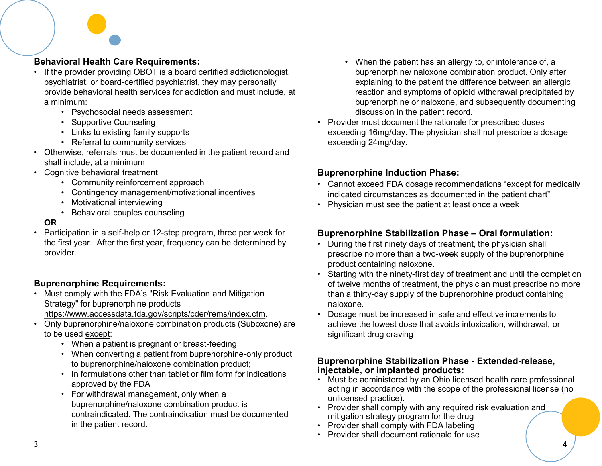### **Behavioral Health Care Requirements:**

- If the provider providing OBOT is a board certified addictionologist, psychiatrist, or board-certified psychiatrist, they may personally provide behavioral health services for addiction and must include, at a minimum:
	- Psychosocial needs assessment
	- Supportive Counseling
	- Links to existing family supports
	- Referral to community services
- Otherwise, referrals must be documented in the patient record and shall include, at a minimum
- Cognitive behavioral treatment
	- Community reinforcement approach
	- Contingency management/motivational incentives
	- Motivational interviewing
	- Behavioral couples counseling

#### **OR**

• Participation in a self-help or 12-step program, three per week for the first year. After the first year, frequency can be determined by provider.

#### **Buprenorphine Requirements:**

- Must comply with the FDA's "Risk Evaluation and Mitigation Strategy" for buprenorphine products https://www.accessdata.fda.gov/scripts/cder/rems/index.cfm.
	-
- Only buprenorphine/naloxone combination products (Suboxone) are to be used except:
	- When a patient is pregnant or breast-feeding
	- When converting a patient from buprenorphine-only product to buprenorphine/naloxone combination product;
	- In formulations other than tablet or film form for indications approved by the FDA
	- For withdrawal management, only when a buprenorphine/naloxone combination product is contraindicated. The contraindication must be documented in the patient record.
- When the patient has an allergy to, or intolerance of, a buprenorphine/ naloxone combination product. Only after explaining to the patient the difference between an allergic reaction and symptoms of opioid withdrawal precipitated by buprenorphine or naloxone, and subsequently documenting discussion in the patient record.
- Provider must document the rationale for prescribed doses exceeding 16mg/day. The physician shall not prescribe a dosage exceeding 24mg/day.

#### **Buprenorphine Induction Phase:**

- Cannot exceed FDA dosage recommendations "except for medically indicated circumstances as documented in the patient chart"
- Physician must see the patient at least once a week

#### **Buprenorphine Stabilization Phase – Oral formulation:**

- During the first ninety days of treatment, the physician shall prescribe no more than a two-week supply of the buprenorphine product containing naloxone.
- Starting with the ninety-first day of treatment and until the completion of twelve months of treatment, the physician must prescribe no more than a thirty-day supply of the buprenorphine product containing naloxone.
- Dosage must be increased in safe and effective increments to achieve the lowest dose that avoids intoxication, withdrawal, or significant drug craving

#### **Buprenorphine Stabilization Phase - Extended-release, injectable, or implanted products:**

- Must be administered by an Ohio licensed health care professional acting in accordance with the scope of the professional license (no unlicensed practice).
- Provider shall comply with any required risk evaluation and mitigation strategy program for the drug
- Provider shall comply with FDA labeling
- Provider shall document rationale for use